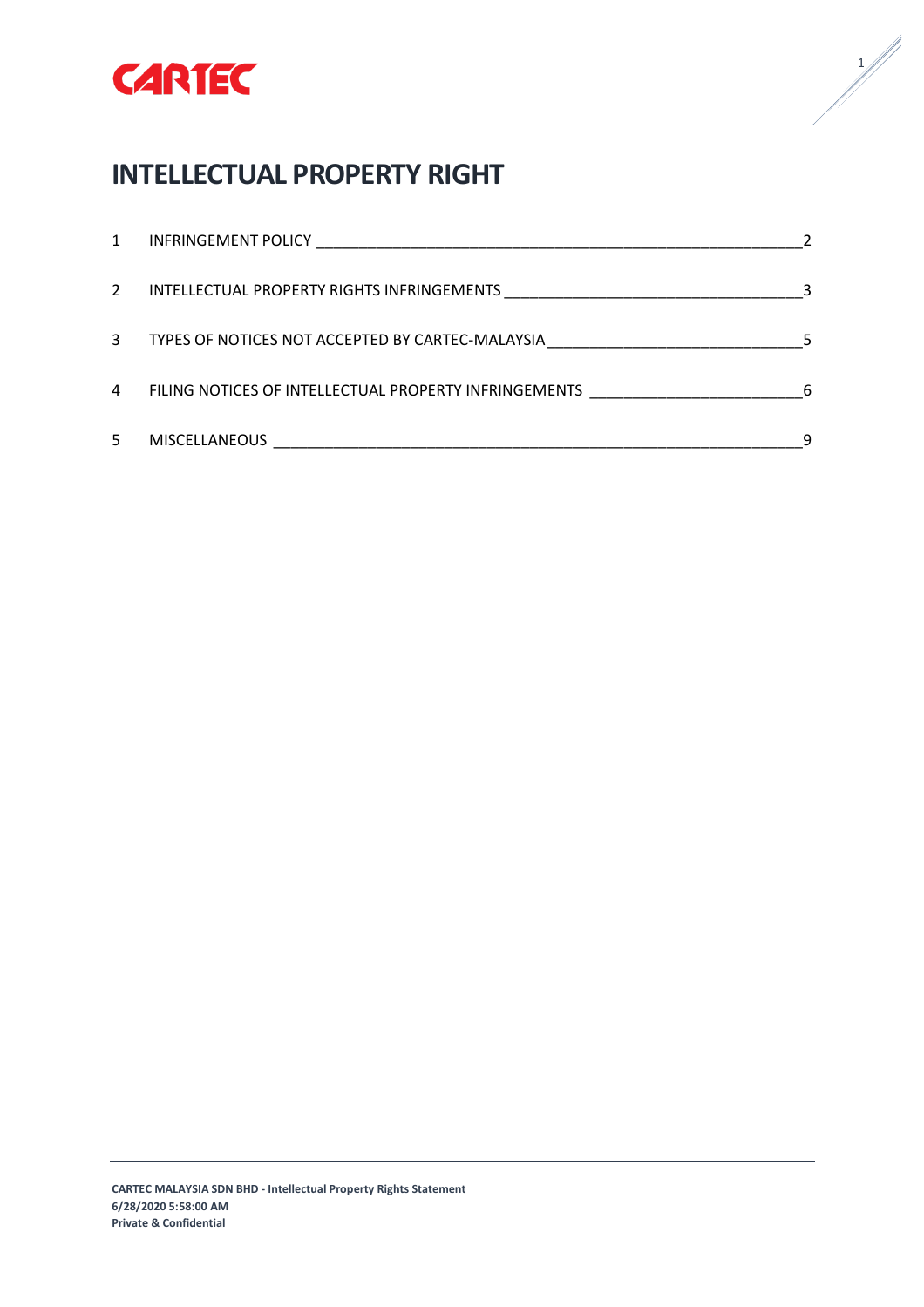

# **INTELLECTUAL PROPERTY RIGHT**

| 1             |                                                       |   |
|---------------|-------------------------------------------------------|---|
| $\mathcal{L}$ |                                                       |   |
| 3             | TYPES OF NOTICES NOT ACCEPTED BY CARTEC-MALAYSIA      |   |
| 4             | FILING NOTICES OF INTELLECTUAL PROPERTY INFRINGEMENTS | 6 |
| 5.            | <b>MISCELLANEOUS</b>                                  |   |

 $\frac{1}{\sqrt{2}}$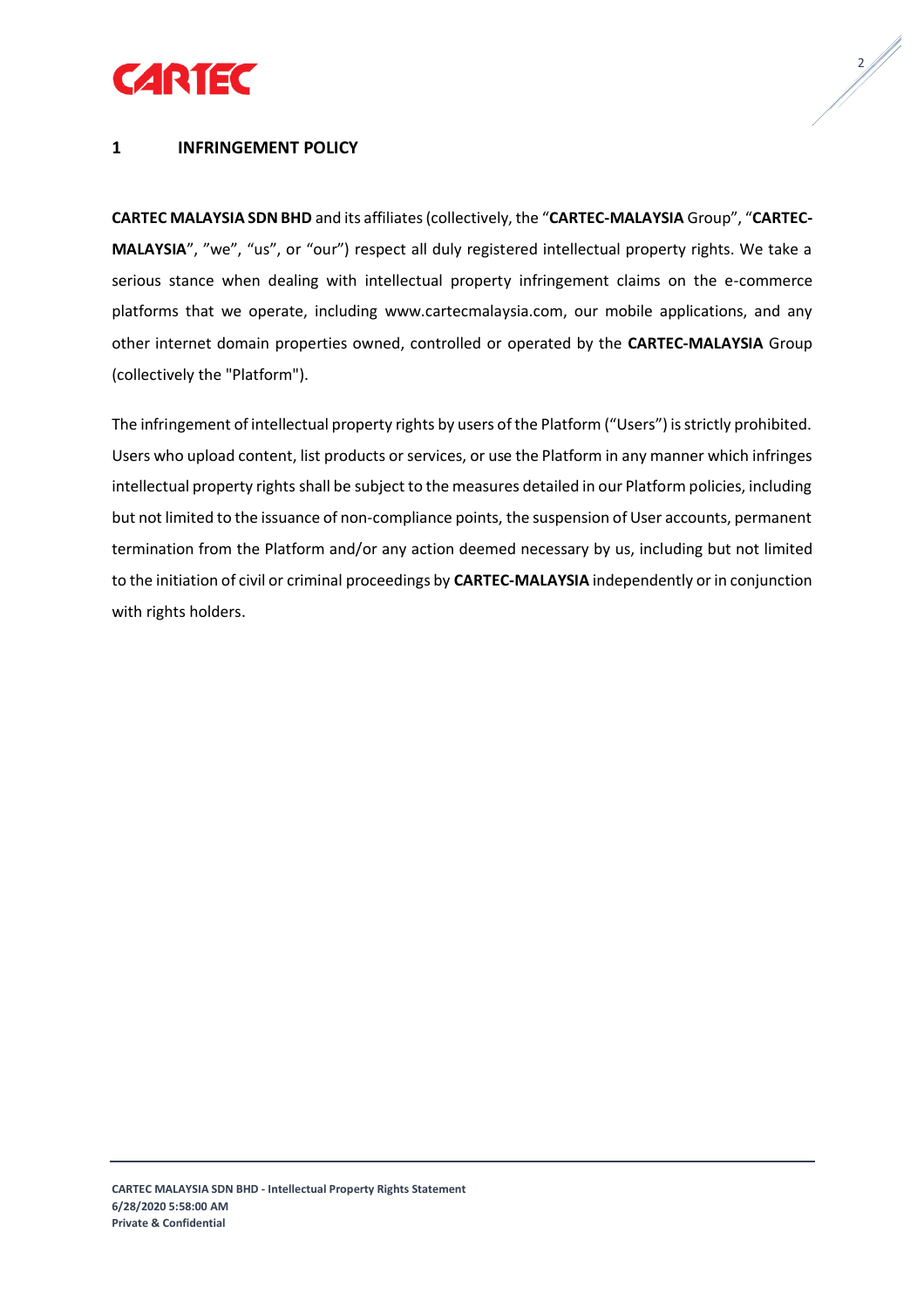



## <span id="page-1-0"></span>**1 INFRINGEMENT POLICY**

**CARTEC MALAYSIA SDN BHD** and its affiliates (collectively, the "**CARTEC-MALAYSIA** Group", "**CARTEC-MALAYSIA**", "we", "us", or "our") respect all duly registered intellectual property rights. We take a serious stance when dealing with intellectual property infringement claims on the e-commerce platforms that we operate, including www.cartecmalaysia.com, our mobile applications, and any other internet domain properties owned, controlled or operated by the **CARTEC-MALAYSIA** Group (collectively the "Platform").

The infringement of intellectual property rights by users of the Platform ("Users") is strictly prohibited. Users who upload content, list products or services, or use the Platform in any manner which infringes intellectual property rights shall be subject to the measures detailed in our Platform policies, including but not limited to the issuance of non-compliance points, the suspension of User accounts, permanent termination from the Platform and/or any action deemed necessary by us, including but not limited to the initiation of civil or criminal proceedings by **CARTEC-MALAYSIA** independently or in conjunction with rights holders.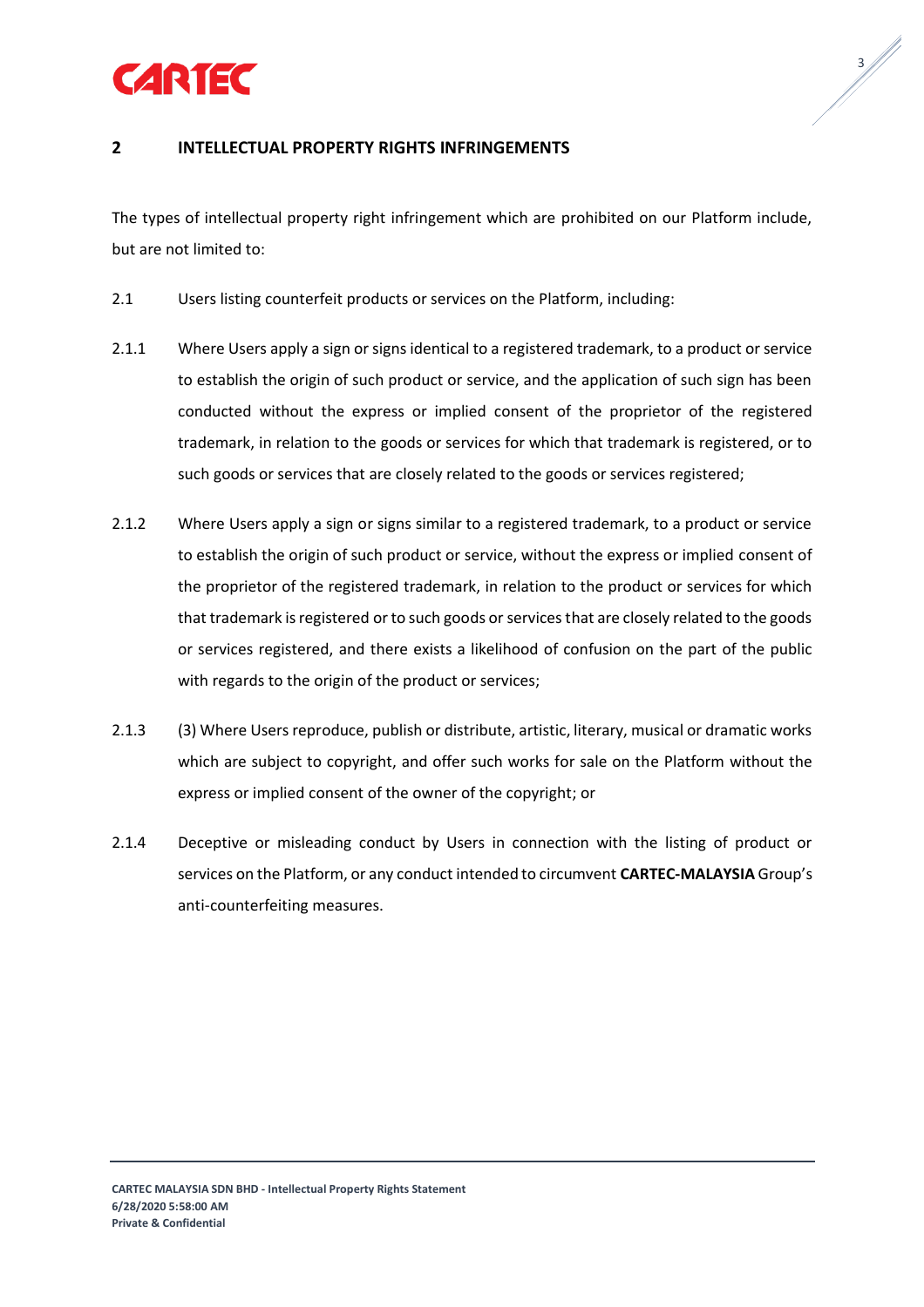

 $\frac{3}{4}$ 

# <span id="page-2-0"></span>**2 INTELLECTUAL PROPERTY RIGHTS INFRINGEMENTS**

The types of intellectual property right infringement which are prohibited on our Platform include, but are not limited to:

- 2.1 Users listing counterfeit products or services on the Platform, including:
- 2.1.1 Where Users apply a sign or signs identical to a registered trademark, to a product or service to establish the origin of such product or service, and the application of such sign has been conducted without the express or implied consent of the proprietor of the registered trademark, in relation to the goods or services for which that trademark is registered, or to such goods or services that are closely related to the goods or services registered;
- 2.1.2 Where Users apply a sign or signs similar to a registered trademark, to a product or service to establish the origin of such product or service, without the express or implied consent of the proprietor of the registered trademark, in relation to the product or services for which that trademark is registered or to such goods or services that are closely related to the goods or services registered, and there exists a likelihood of confusion on the part of the public with regards to the origin of the product or services;
- 2.1.3 (3) Where Users reproduce, publish or distribute, artistic, literary, musical or dramatic works which are subject to copyright, and offer such works for sale on the Platform without the express or implied consent of the owner of the copyright; or
- 2.1.4 Deceptive or misleading conduct by Users in connection with the listing of product or services on the Platform, or any conduct intended to circumvent **CARTEC-MALAYSIA** Group's anti-counterfeiting measures.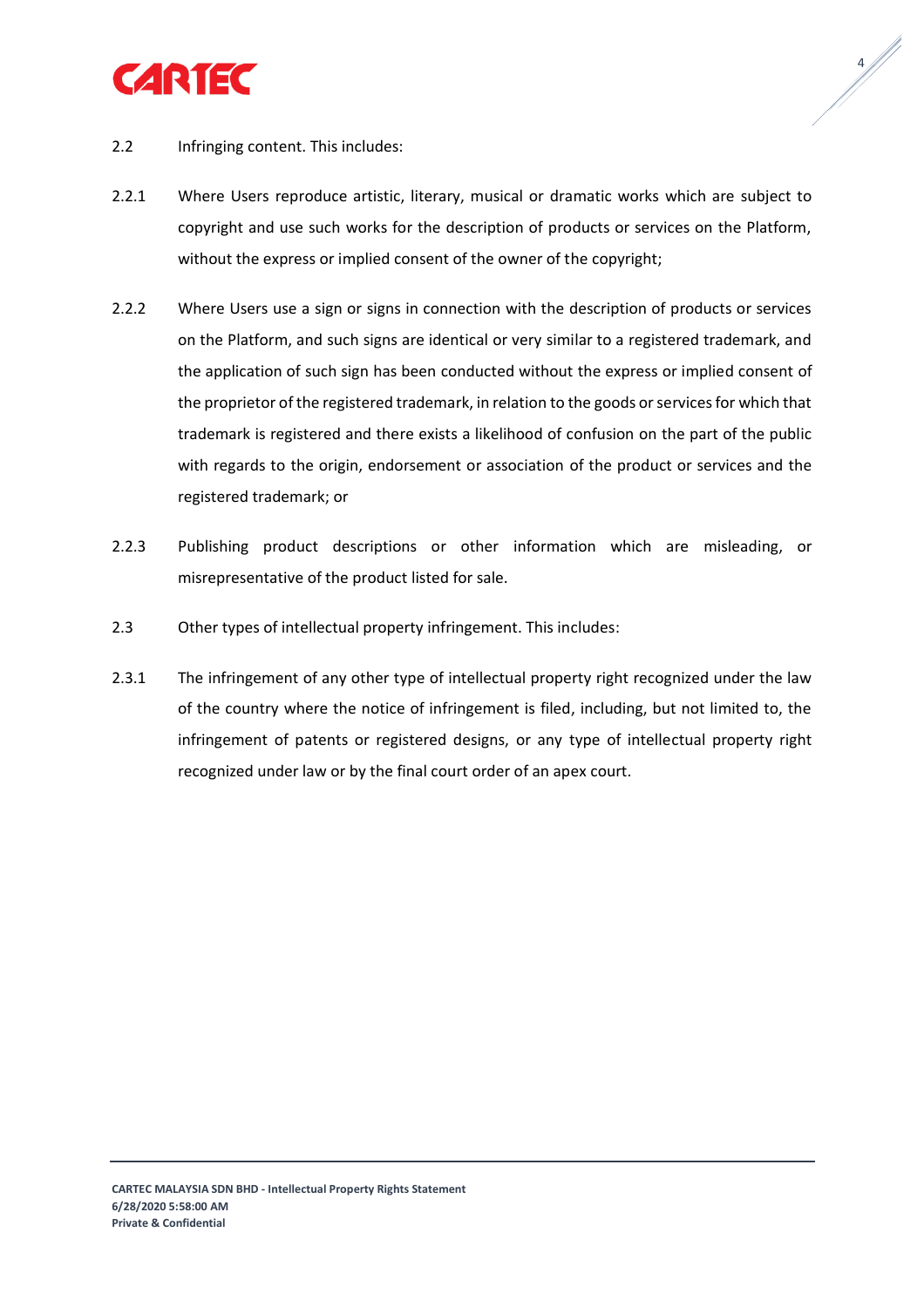

 $4/1/4$ 

- 2.2 Infringing content. This includes:
- 2.2.1 Where Users reproduce artistic, literary, musical or dramatic works which are subject to copyright and use such works for the description of products or services on the Platform, without the express or implied consent of the owner of the copyright;
- 2.2.2 Where Users use a sign or signs in connection with the description of products or services on the Platform, and such signs are identical or very similar to a registered trademark, and the application of such sign has been conducted without the express or implied consent of the proprietor of the registered trademark, in relation to the goods or services for which that trademark is registered and there exists a likelihood of confusion on the part of the public with regards to the origin, endorsement or association of the product or services and the registered trademark; or
- 2.2.3 Publishing product descriptions or other information which are misleading, or misrepresentative of the product listed for sale.
- 2.3 Other types of intellectual property infringement. This includes:
- <span id="page-3-0"></span>2.3.1 The infringement of any other type of intellectual property right recognized under the law of the country where the notice of infringement is filed, including, but not limited to, the infringement of patents or registered designs, or any type of intellectual property right recognized under law or by the final court order of an apex court.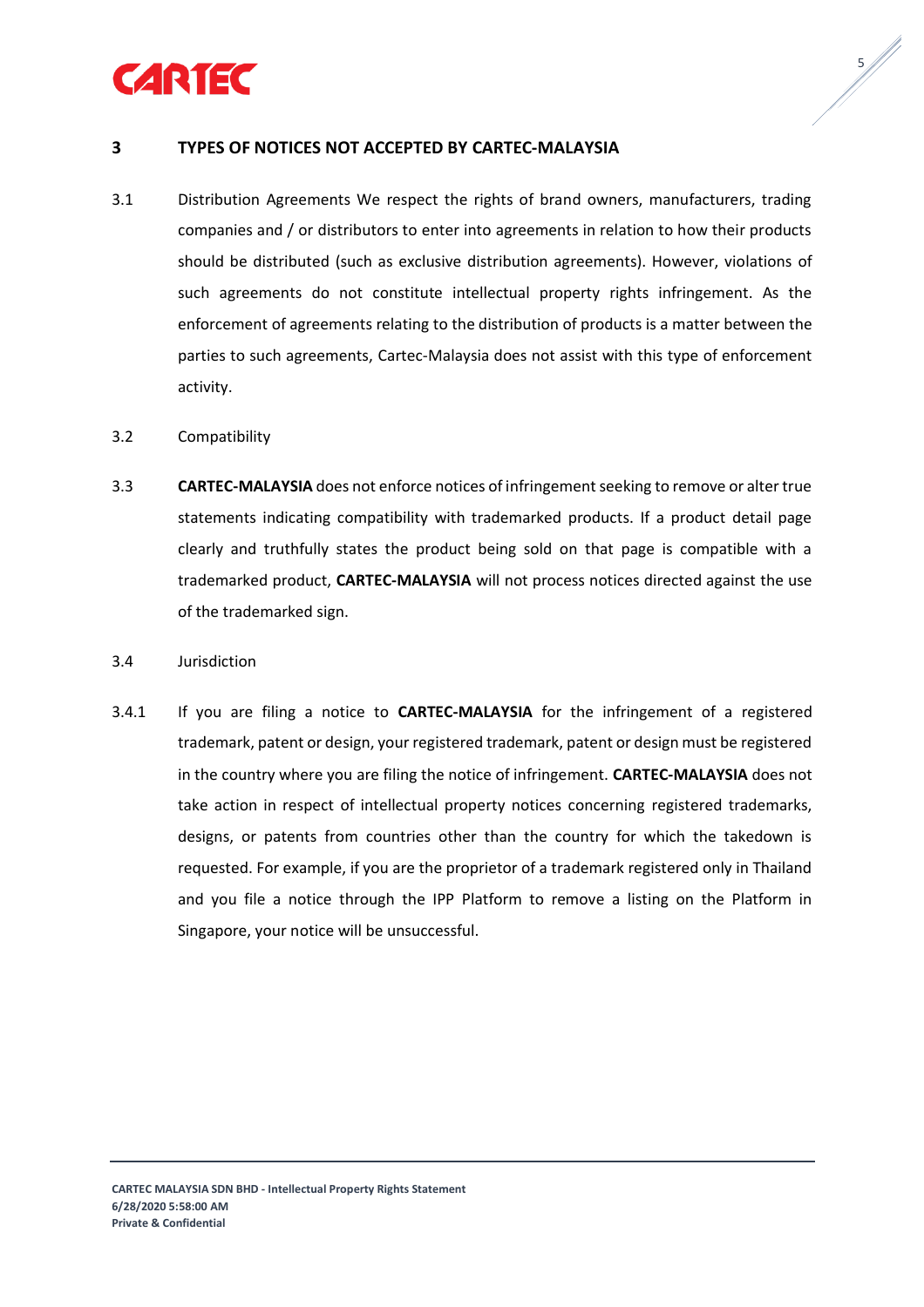



## **3 TYPES OF NOTICES NOT ACCEPTED BY CARTEC-MALAYSIA**

- 3.1 Distribution Agreements We respect the rights of brand owners, manufacturers, trading companies and / or distributors to enter into agreements in relation to how their products should be distributed (such as exclusive distribution agreements). However, violations of such agreements do not constitute intellectual property rights infringement. As the enforcement of agreements relating to the distribution of products is a matter between the parties to such agreements, Cartec-Malaysia does not assist with this type of enforcement activity.
- 3.2 Compatibility
- 3.3 **CARTEC-MALAYSIA** does not enforce notices of infringement seeking to remove or alter true statements indicating compatibility with trademarked products. If a product detail page clearly and truthfully states the product being sold on that page is compatible with a trademarked product, **CARTEC-MALAYSIA** will not process notices directed against the use of the trademarked sign.
- 3.4 Jurisdiction
- 3.4.1 If you are filing a notice to **CARTEC-MALAYSIA** for the infringement of a registered trademark, patent or design, your registered trademark, patent or design must be registered in the country where you are filing the notice of infringement. **CARTEC-MALAYSIA** does not take action in respect of intellectual property notices concerning registered trademarks, designs, or patents from countries other than the country for which the takedown is requested. For example, if you are the proprietor of a trademark registered only in Thailand and you file a notice through the IPP Platform to remove a listing on the Platform in Singapore, your notice will be unsuccessful.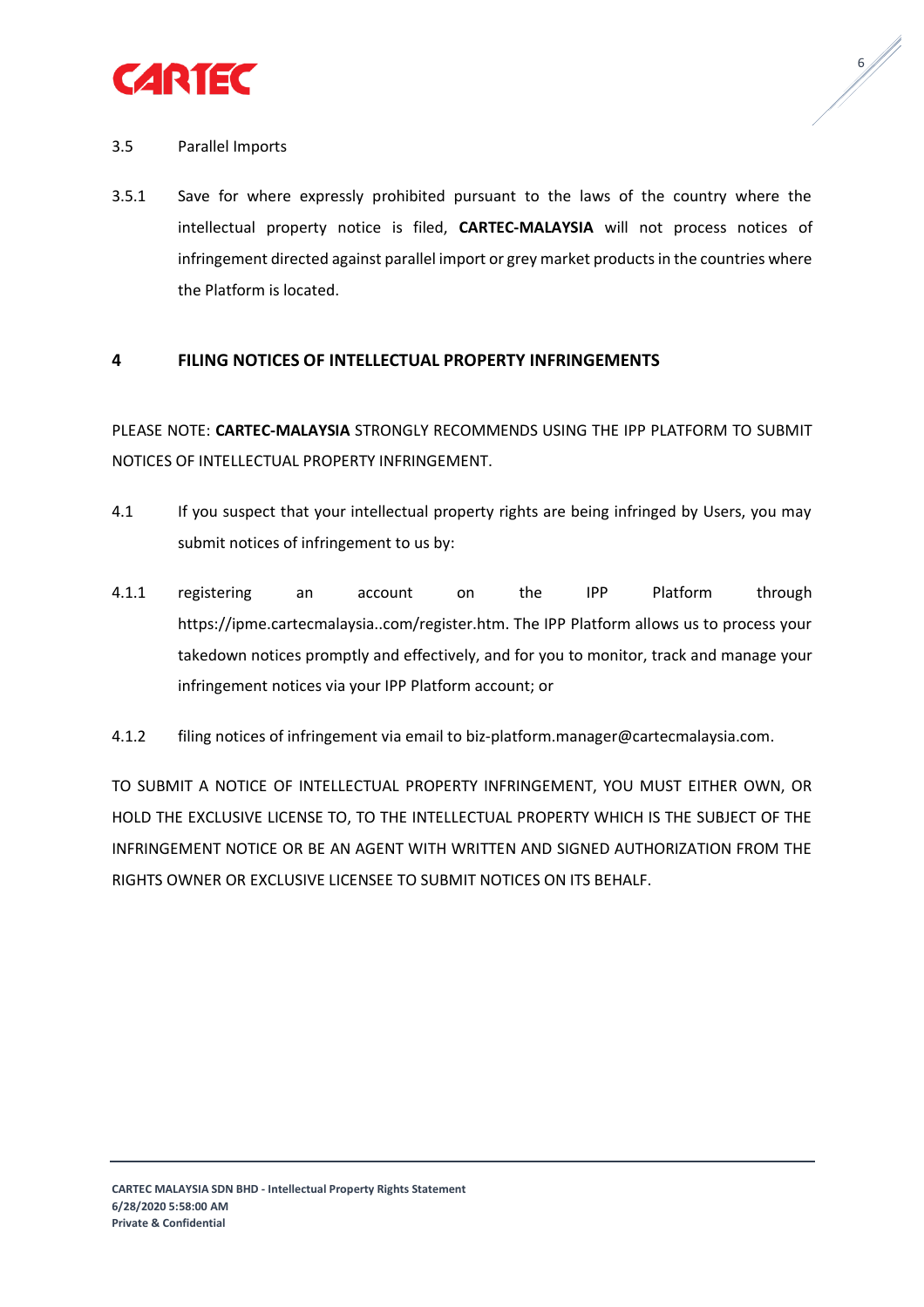

 $6/1$ 

## 3.5 Parallel Imports

3.5.1 Save for where expressly prohibited pursuant to the laws of the country where the intellectual property notice is filed, **CARTEC-MALAYSIA** will not process notices of infringement directed against parallel import or grey market products in the countries where the Platform is located.

## <span id="page-5-0"></span>**4 FILING NOTICES OF INTELLECTUAL PROPERTY INFRINGEMENTS**

PLEASE NOTE: **CARTEC-MALAYSIA** STRONGLY RECOMMENDS USING THE IPP PLATFORM TO SUBMIT NOTICES OF INTELLECTUAL PROPERTY INFRINGEMENT.

- 4.1 If you suspect that your intellectual property rights are being infringed by Users, you may submit notices of infringement to us by:
- 4.1.1 registering an account on the IPP Platform through https://ipme.cartecmalaysia..com/register.htm. The IPP Platform allows us to process your takedown notices promptly and effectively, and for you to monitor, track and manage your infringement notices via your IPP Platform account; or
- 4.1.2 filing notices of infringement via email to biz-platform.manager@cartecmalaysia.com.

TO SUBMIT A NOTICE OF INTELLECTUAL PROPERTY INFRINGEMENT, YOU MUST EITHER OWN, OR HOLD THE EXCLUSIVE LICENSE TO, TO THE INTELLECTUAL PROPERTY WHICH IS THE SUBJECT OF THE INFRINGEMENT NOTICE OR BE AN AGENT WITH WRITTEN AND SIGNED AUTHORIZATION FROM THE RIGHTS OWNER OR EXCLUSIVE LICENSEE TO SUBMIT NOTICES ON ITS BEHALF.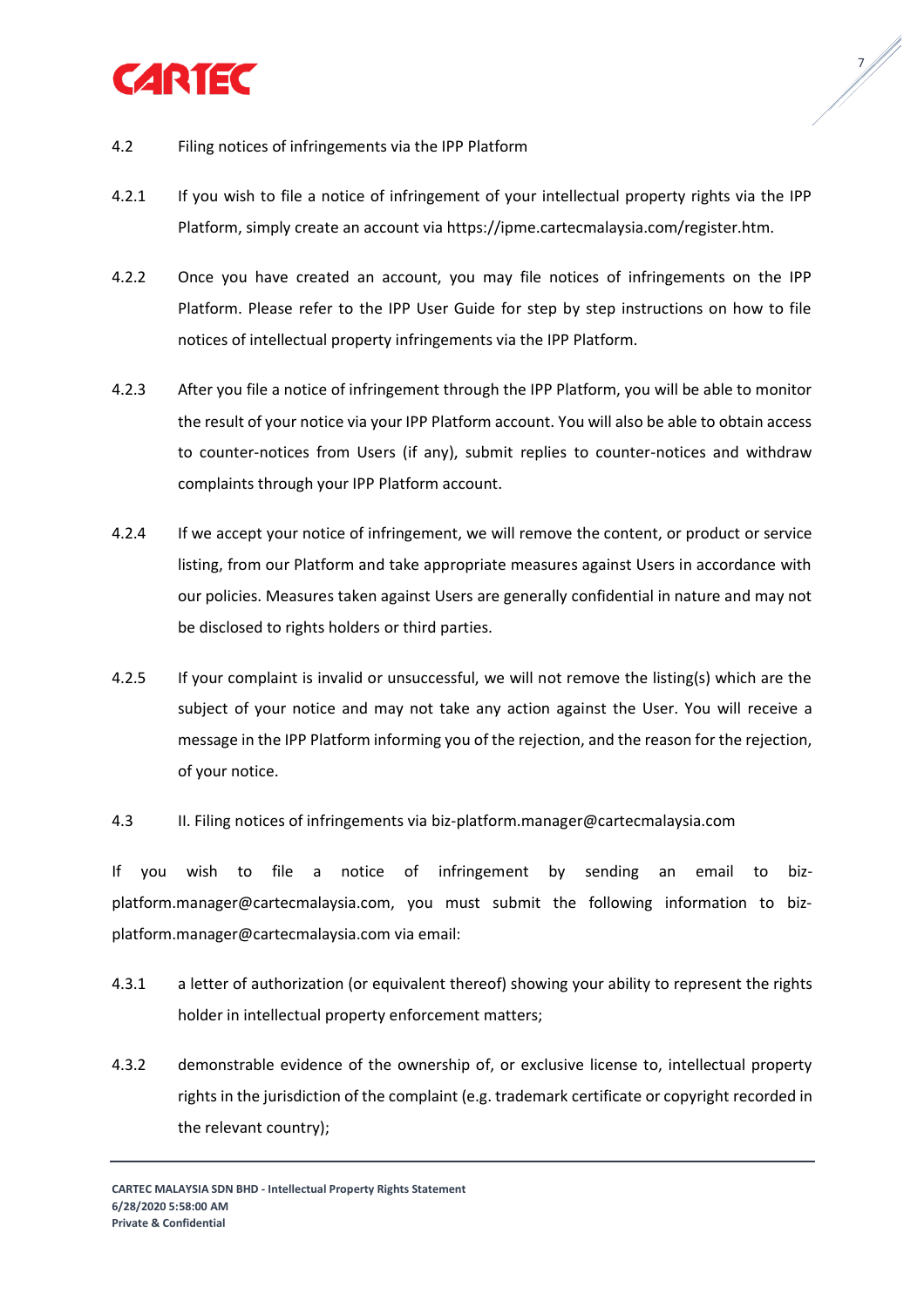

7

- 4.2 Filing notices of infringements via the IPP Platform
- 4.2.1 If you wish to file a notice of infringement of your intellectual property rights via the IPP Platform, simply create an account via https://ipme.cartecmalaysia.com/register.htm.
- 4.2.2 Once you have created an account, you may file notices of infringements on the IPP Platform. Please refer to the IPP User Guide for step by step instructions on how to file notices of intellectual property infringements via the IPP Platform.
- 4.2.3 After you file a notice of infringement through the IPP Platform, you will be able to monitor the result of your notice via your IPP Platform account. You will also be able to obtain access to counter-notices from Users (if any), submit replies to counter-notices and withdraw complaints through your IPP Platform account.
- 4.2.4 If we accept your notice of infringement, we will remove the content, or product or service listing, from our Platform and take appropriate measures against Users in accordance with our policies. Measures taken against Users are generally confidential in nature and may not be disclosed to rights holders or third parties.
- 4.2.5 If your complaint is invalid or unsuccessful, we will not remove the listing(s) which are the subject of your notice and may not take any action against the User. You will receive a message in the IPP Platform informing you of the rejection, and the reason for the rejection, of your notice.
- 4.3 II. Filing notices of infringements via biz-platform.manager@cartecmalaysia.com

If you wish to file a notice of infringement by sending an email to bizplatform.manager@cartecmalaysia.com, you must submit the following information to bizplatform.manager@cartecmalaysia.com via email:

- 4.3.1 a letter of authorization (or equivalent thereof) showing your ability to represent the rights holder in intellectual property enforcement matters;
- 4.3.2 demonstrable evidence of the ownership of, or exclusive license to, intellectual property rights in the jurisdiction of the complaint (e.g. trademark certificate or copyright recorded in the relevant country);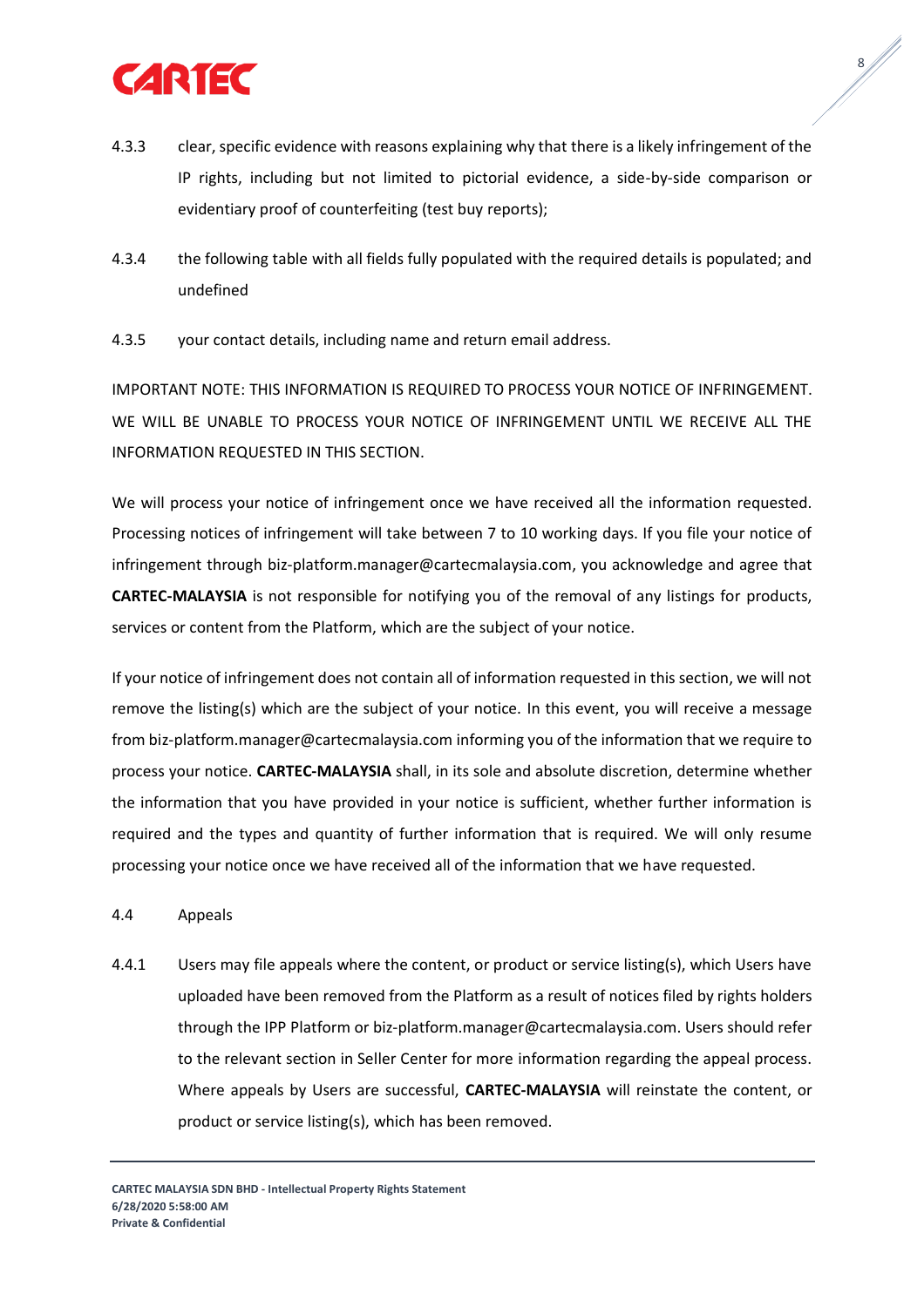

4.3.3 clear, specific evidence with reasons explaining why that there is a likely infringement of the IP rights, including but not limited to pictorial evidence, a side-by-side comparison or evidentiary proof of counterfeiting (test buy reports);

8 //

- 4.3.4 the following table with all fields fully populated with the required details is populated; and undefined
- 4.3.5 your contact details, including name and return email address.

IMPORTANT NOTE: THIS INFORMATION IS REQUIRED TO PROCESS YOUR NOTICE OF INFRINGEMENT. WE WILL BE UNABLE TO PROCESS YOUR NOTICE OF INFRINGEMENT UNTIL WE RECEIVE ALL THE INFORMATION REQUESTED IN THIS SECTION.

We will process your notice of infringement once we have received all the information requested. Processing notices of infringement will take between 7 to 10 working days. If you file your notice of infringement through biz-platform.manager@cartecmalaysia.com, you acknowledge and agree that **CARTEC-MALAYSIA** is not responsible for notifying you of the removal of any listings for products, services or content from the Platform, which are the subject of your notice.

If your notice of infringement does not contain all of information requested in this section, we will not remove the listing(s) which are the subject of your notice. In this event, you will receive a message from biz-platform.manager@cartecmalaysia.com informing you of the information that we require to process your notice. **CARTEC-MALAYSIA** shall, in its sole and absolute discretion, determine whether the information that you have provided in your notice is sufficient, whether further information is required and the types and quantity of further information that is required. We will only resume processing your notice once we have received all of the information that we have requested.

- 4.4 Appeals
- 4.4.1 Users may file appeals where the content, or product or service listing(s), which Users have uploaded have been removed from the Platform as a result of notices filed by rights holders through the IPP Platform or biz-platform.manager@cartecmalaysia.com. Users should refer to the relevant section in Seller Center for more information regarding the appeal process. Where appeals by Users are successful, **CARTEC-MALAYSIA** will reinstate the content, or product or service listing(s), which has been removed.